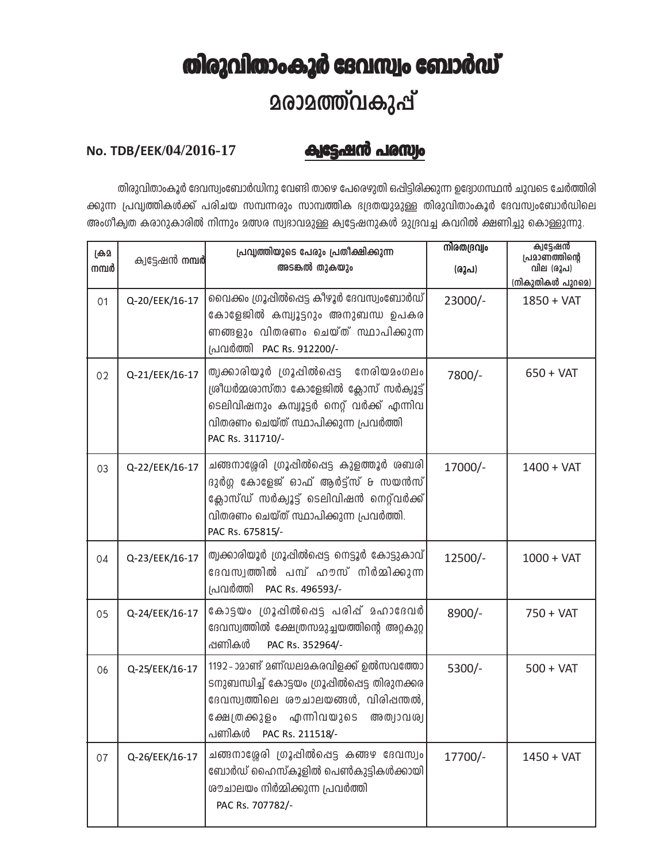## തിരുവിതാംകൂർ ദേവസ്വം ബോർഡ് **2രാ2ത്ത്വകുപ്പ്**

## No. TDB/EEK/04/2016-17

## ക്വട്ടേഷൻ പരസ്വം

തിരുവിതാംകൂർ ദേവസ്വംബോർഡിനു വേണ്ടി താഴെ പേരെഴുതി ഒപ്പിട്ടിരിക്കുന്ന ഉദ്യോഗസ്ഥൻ ചുവടെ ചേർത്തിരി ക്കുന്ന പ്രവൃത്തികൾക്ക് പരിചയ സമ്പന്നരും സാമ്പത്തിക ഭദ്രതയുമുള്ള തിരുവിതാംകൂർ ദേവസ്വംബോർഡിലെ അംഗീക്വത കരാറുകാരിൽ നിന്നും മത്സര സ്വഭാവമുള്ള ക്വട്ടേഷനുകൾ മുദ്രവച്ച കവറിൽ ക്ഷണിച്ചു കൊള്ളുന്നു.

| ക്ര്ര<br>നമ്പർ | ക്വട്ടേഷൻ <b>നമ്പർ</b> | പ്രവൃത്തിയുടെ പേരും പ്രതീക്ഷിക്കുന്ന<br>അടങ്കൽ തുകയും                                                                                                                                               | നിരതദ്രവ്വം<br>(രുപ) | ക്വട്ടേഷൻ<br>പ്രമാണത്തിന്റെ<br>വില (രൂപ)<br>(നികുതികൾ പുറമെ) |
|----------------|------------------------|-----------------------------------------------------------------------------------------------------------------------------------------------------------------------------------------------------|----------------------|--------------------------------------------------------------|
| 01             | Q-20/EEK/16-17         | വൈക്കം ഗ്രൂഷിൽപ്പെട്ട കീഴൂർ ദേവസ്വംബോർഡ്<br>കോളേജിൽ കമ്പ്യൂട്ടറും അനുബന്ധ ഉപകര<br>ണങ്ങളും വിതരണം ചെയ്ത് സ്ഥാപിക്കുന്ന<br>പ്രവർത്തി PAC Rs. 912200/-                                                 | 23000/-              | $1850 + VAT$                                                 |
| 02             | Q-21/EEK/16-17         | ത്വക്കാരിയൂർ ഗ്രൂപ്പിൽപ്പെട്ട നേരിയമംഗലം<br>ശ്രീധർമ്മശാസ്താ കോളേജിൽ ക്ലോസ് സർക്വൂട്ട്<br>ടെലിവിഷനും കമ്പ്യൂട്ടർ നെറ്റ് വർക്ക് എന്നിവ<br>വിതരണം ചെയ്ത് സ്ഥാപിക്കുന്ന പ്രവർത്തി<br>PAC Rs. 311710/-   | 7800/-               | $650 + VAT$                                                  |
| 03             | Q-22/EEK/16-17         | ചങ്ങനാശ്ശേരി ഗ്രൂപ്പിൽപ്പെട്ട കുളത്തൂർ ശബരി<br>ദുർഗ്ഗ കോളേജ് ഓഫ് ആർട്ട്സ് & സയൻസ്<br>ക്ലോസ്ഡ് സർക്വൂട്ട് ടെലിവിഷൻ നെറ്റ്വർക്ക്<br>വിതരണം ചെയ്ത് സ്ഥാപിക്കുന്ന പ്രവർത്തി.<br>PAC Rs. 675815/-        | 17000/-              | $1400 + VAT$                                                 |
| 04             | Q-23/EEK/16-17         | ത്വക്കാരിയൂർ ഗ്രൂപ്പിൽപ്പെട്ട നെട്ടൂർ കോട്ടുകാവ്<br>ദേവസ്വത്തിൽ പമ്പ് ഹൗസ് നിർമ്മിക്കുന്ന<br>പ്രവർത്തി<br>PAC Rs. 496593/-                                                                          | 12500/-              | $1000 + VAT$                                                 |
| 05             | Q-24/EEK/16-17         | കോട്ടയം ശ്രൂഷിൽപ്പെട്ട പരിഷ് മഹാദേവർ<br>ദേവസ്വത്തിൽ ക്ഷേത്രസമുച്ചയത്തിന്റെ അറ്റകുറ്റ<br>പ്പണികൾ<br>PAC Rs. 352964/-                                                                                 | 8900/-               | 750 + VAT                                                    |
| 06             | Q-25/EEK/16-17         | 1192-ാമാണ്ട് മണ്ഡലമകരവിളക്ക് ഉൽസവത്തോ<br>ടനുബന്ധിച്ച് കോട്ടയം ഗ്രൂഷിൽപ്പെട്ട തിരുനക്കര<br>ദേവസ്വത്തിലെ ശൗചാലയങ്ങൾ, വിരിഷന്തൽ,<br>ക്ഷേത്രക്കുളം എന്നിവയുടെ<br>അത്വാവശ്വ<br>പണികൾ<br>PAC Rs. 211518/- | $5300/-$             | $500 + VAT$                                                  |
| 07             | Q-26/EEK/16-17         | ചങ്ങനാശ്ശേരി ഗ്രൂപ്പിൽപ്പെട്ട കങ്ങഴ ദേവസ്വം<br>ബോർഡ് ഹൈസ്കൂളിൽ പെൺകുട്ടികൾക്കായി<br>രൗചാലയം നിർമ്മിക്കുന്ന പ്രവർത്തി<br>PAC Rs. 707782/-                                                            | 17700/-              | $1450 + VAT$                                                 |